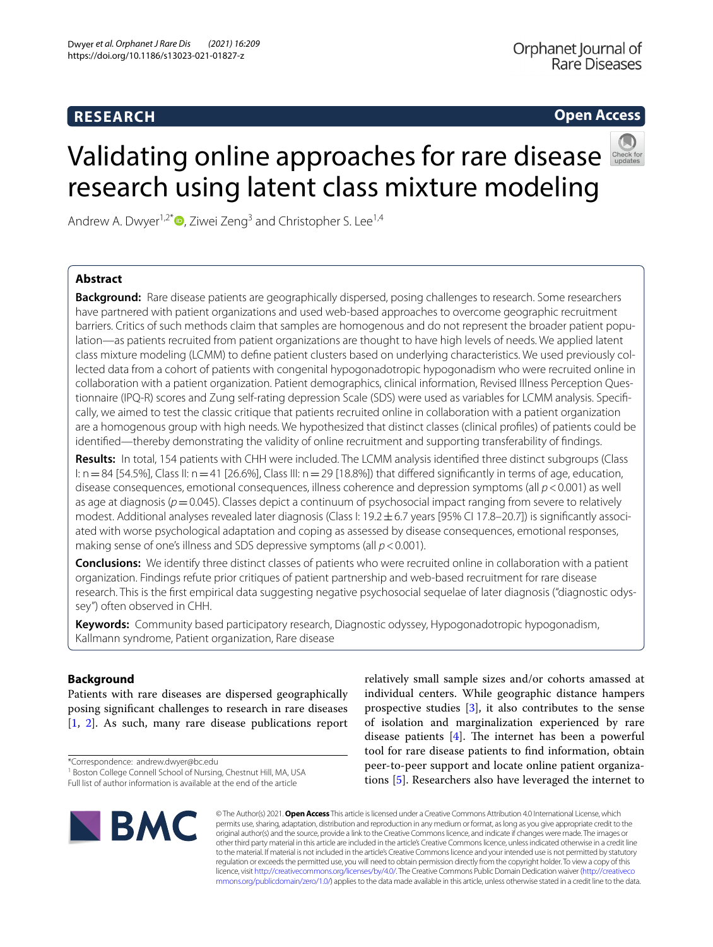# **RESEARCH**

# **Open Access**



# Validating online approaches for rare disease research using latent class mixture modeling

Andrew A. Dwyer<sup>1,2\*</sup> $\bullet$ [,](http://orcid.org/0000-0002-7023-6794) Ziwei Zeng<sup>3</sup> and Christopher S. Lee<sup>1,4</sup>

# **Abstract**

**Background:** Rare disease patients are geographically dispersed, posing challenges to research. Some researchers have partnered with patient organizations and used web-based approaches to overcome geographic recruitment barriers. Critics of such methods claim that samples are homogenous and do not represent the broader patient population—as patients recruited from patient organizations are thought to have high levels of needs. We applied latent class mixture modeling (LCMM) to defne patient clusters based on underlying characteristics. We used previously collected data from a cohort of patients with congenital hypogonadotropic hypogonadism who were recruited online in collaboration with a patient organization. Patient demographics, clinical information, Revised Illness Perception Questionnaire (IPQ-R) scores and Zung self-rating depression Scale (SDS) were used as variables for LCMM analysis. Specifcally, we aimed to test the classic critique that patients recruited online in collaboration with a patient organization are a homogenous group with high needs. We hypothesized that distinct classes (clinical profles) of patients could be identifed—thereby demonstrating the validity of online recruitment and supporting transferability of fndings.

**Results:** In total, 154 patients with CHH were included. The LCMM analysis identifed three distinct subgroups (Class I:  $n=84$  [54.5%], Class II:  $n=41$  [26.6%], Class III:  $n=29$  [18.8%]) that differed significantly in terms of age, education, disease consequences, emotional consequences, illness coherence and depression symptoms (all *p*<0.001) as well as age at diagnosis (p = 0.045). Classes depict a continuum of psychosocial impact ranging from severe to relatively modest. Additional analyses revealed later diagnosis (Class I: 19.2 $\pm$ 6.7 years [95% CI 17.8–20.7]) is significantly associated with worse psychological adaptation and coping as assessed by disease consequences, emotional responses, making sense of one's illness and SDS depressive symptoms (all *p*<0.001).

**Conclusions:** We identify three distinct classes of patients who were recruited online in collaboration with a patient organization. Findings refute prior critiques of patient partnership and web-based recruitment for rare disease research. This is the frst empirical data suggesting negative psychosocial sequelae of later diagnosis ("diagnostic odyssey") often observed in CHH.

**Keywords:** Community based participatory research, Diagnostic odyssey, Hypogonadotropic hypogonadism, Kallmann syndrome, Patient organization, Rare disease

# **Background**

Patients with rare diseases are dispersed geographically posing signifcant challenges to research in rare diseases [[1,](#page-5-0) [2\]](#page-5-1). As such, many rare disease publications report

\*Correspondence: andrew.dwyer@bc.edu

Full list of author information is available at the end of the article



relatively small sample sizes and/or cohorts amassed at individual centers. While geographic distance hampers prospective studies [[3\]](#page-6-0), it also contributes to the sense of isolation and marginalization experienced by rare disease patients  $[4]$  $[4]$ . The internet has been a powerful tool for rare disease patients to fnd information, obtain peer-to-peer support and locate online patient organizations [\[5](#page-6-2)]. Researchers also have leveraged the internet to

© The Author(s) 2021. **Open Access** This article is licensed under a Creative Commons Attribution 4.0 International License, which permits use, sharing, adaptation, distribution and reproduction in any medium or format, as long as you give appropriate credit to the original author(s) and the source, provide a link to the Creative Commons licence, and indicate if changes were made. The images or other third party material in this article are included in the article's Creative Commons licence, unless indicated otherwise in a credit line to the material. If material is not included in the article's Creative Commons licence and your intended use is not permitted by statutory regulation or exceeds the permitted use, you will need to obtain permission directly from the copyright holder. To view a copy of this licence, visit [http://creativecommons.org/licenses/by/4.0/.](http://creativecommons.org/licenses/by/4.0/) The Creative Commons Public Domain Dedication waiver ([http://creativeco](http://creativecommons.org/publicdomain/zero/1.0/) [mmons.org/publicdomain/zero/1.0/](http://creativecommons.org/publicdomain/zero/1.0/)) applies to the data made available in this article, unless otherwise stated in a credit line to the data.

<sup>&</sup>lt;sup>1</sup> Boston College Connell School of Nursing, Chestnut Hill, MA, USA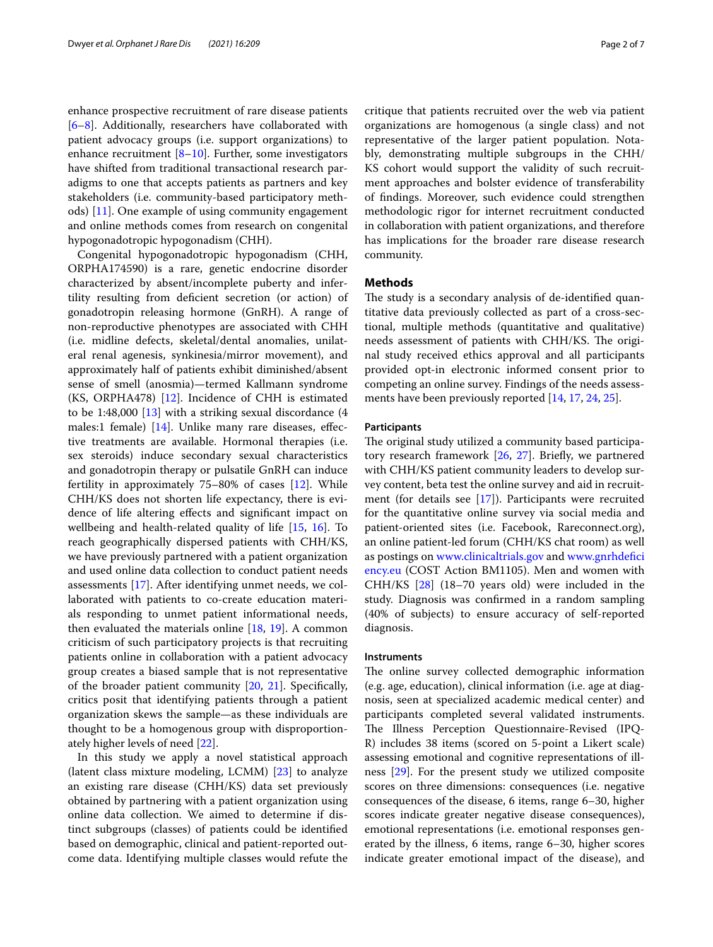enhance prospective recruitment of rare disease patients [[6–](#page-6-3)[8\]](#page-6-4). Additionally, researchers have collaborated with patient advocacy groups (i.e. support organizations) to enhance recruitment [\[8](#page-6-4)[–10\]](#page-6-5). Further, some investigators have shifted from traditional transactional research paradigms to one that accepts patients as partners and key stakeholders (i.e. community-based participatory methods) [\[11](#page-6-6)]. One example of using community engagement and online methods comes from research on congenital hypogonadotropic hypogonadism (CHH).

Congenital hypogonadotropic hypogonadism (CHH, ORPHA174590) is a rare, genetic endocrine disorder characterized by absent/incomplete puberty and infertility resulting from defcient secretion (or action) of gonadotropin releasing hormone (GnRH). A range of non-reproductive phenotypes are associated with CHH (i.e. midline defects, skeletal/dental anomalies, unilateral renal agenesis, synkinesia/mirror movement), and approximately half of patients exhibit diminished/absent sense of smell (anosmia)—termed Kallmann syndrome (KS, ORPHA478) [[12\]](#page-6-7). Incidence of CHH is estimated to be 1:48,000 [[13](#page-6-8)] with a striking sexual discordance (4 males:1 female) [[14\]](#page-6-9). Unlike many rare diseases, effective treatments are available. Hormonal therapies (i.e. sex steroids) induce secondary sexual characteristics and gonadotropin therapy or pulsatile GnRH can induce fertility in approximately 75–80% of cases [[12](#page-6-7)]. While CHH/KS does not shorten life expectancy, there is evidence of life altering efects and signifcant impact on wellbeing and health-related quality of life [\[15](#page-6-10), [16](#page-6-11)]. To reach geographically dispersed patients with CHH/KS, we have previously partnered with a patient organization and used online data collection to conduct patient needs assessments [\[17](#page-6-12)]. After identifying unmet needs, we collaborated with patients to co-create education materials responding to unmet patient informational needs, then evaluated the materials online [[18,](#page-6-13) [19](#page-6-14)]. A common criticism of such participatory projects is that recruiting patients online in collaboration with a patient advocacy group creates a biased sample that is not representative of the broader patient community [[20,](#page-6-15) [21\]](#page-6-16). Specifcally, critics posit that identifying patients through a patient organization skews the sample—as these individuals are thought to be a homogenous group with disproportionately higher levels of need [\[22](#page-6-17)].

In this study we apply a novel statistical approach (latent class mixture modeling, LCMM) [\[23](#page-6-18)] to analyze an existing rare disease (CHH/KS) data set previously obtained by partnering with a patient organization using online data collection. We aimed to determine if distinct subgroups (classes) of patients could be identifed based on demographic, clinical and patient-reported outcome data. Identifying multiple classes would refute the critique that patients recruited over the web via patient organizations are homogenous (a single class) and not representative of the larger patient population. Notably, demonstrating multiple subgroups in the CHH/ KS cohort would support the validity of such recruitment approaches and bolster evidence of transferability of fndings. Moreover, such evidence could strengthen methodologic rigor for internet recruitment conducted in collaboration with patient organizations, and therefore has implications for the broader rare disease research community.

## **Methods**

The study is a secondary analysis of de-identified quantitative data previously collected as part of a cross-sectional, multiple methods (quantitative and qualitative) needs assessment of patients with CHH/KS. The original study received ethics approval and all participants provided opt-in electronic informed consent prior to competing an online survey. Findings of the needs assessments have been previously reported [\[14,](#page-6-9) [17](#page-6-12), [24,](#page-6-19) [25](#page-6-20)].

#### **Participants**

The original study utilized a community based participa-tory research framework [[26,](#page-6-21) [27](#page-6-22)]. Briefly, we partnered with CHH/KS patient community leaders to develop survey content, beta test the online survey and aid in recruitment (for details see [[17\]](#page-6-12)). Participants were recruited for the quantitative online survey via social media and patient-oriented sites (i.e. Facebook, Rareconnect.org), an online patient-led forum (CHH/KS chat room) as well as postings on [www.clinicaltrials.gov](http://www.clinicaltrials.gov) and [www.gnrhdefci](http://www.gnrhdeficiency.eu) [ency.eu](http://www.gnrhdeficiency.eu) (COST Action BM1105). Men and women with CHH/KS [[28\]](#page-6-23) (18–70 years old) were included in the study. Diagnosis was confrmed in a random sampling (40% of subjects) to ensure accuracy of self-reported diagnosis.

## **Instruments**

The online survey collected demographic information (e.g. age, education), clinical information (i.e. age at diagnosis, seen at specialized academic medical center) and participants completed several validated instruments. The Illness Perception Questionnaire-Revised (IPQ-R) includes 38 items (scored on 5-point a Likert scale) assessing emotional and cognitive representations of illness [[29\]](#page-6-24). For the present study we utilized composite scores on three dimensions: consequences (i.e. negative consequences of the disease, 6 items, range 6–30, higher scores indicate greater negative disease consequences), emotional representations (i.e. emotional responses generated by the illness, 6 items, range 6–30, higher scores indicate greater emotional impact of the disease), and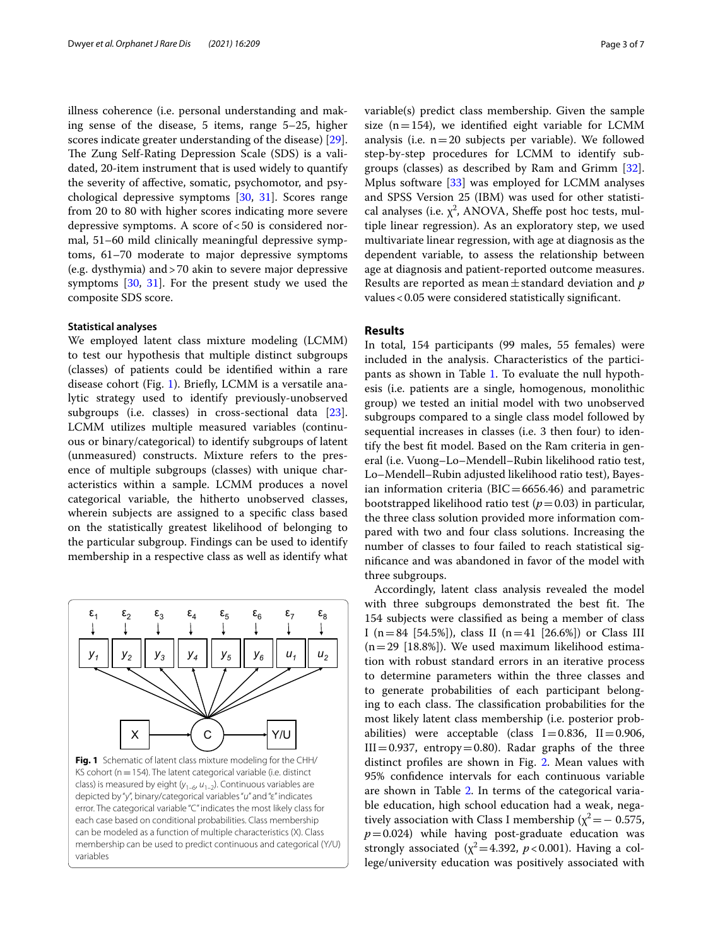illness coherence (i.e. personal understanding and making sense of the disease, 5 items, range 5–25, higher scores indicate greater understanding of the disease) [\[29](#page-6-24)]. The Zung Self-Rating Depression Scale (SDS) is a validated, 20-item instrument that is used widely to quantify the severity of afective, somatic, psychomotor, and psychological depressive symptoms [\[30,](#page-6-25) [31](#page-6-26)]. Scores range from 20 to 80 with higher scores indicating more severe depressive symptoms. A score of  $< 50$  is considered normal, 51–60 mild clinically meaningful depressive symptoms, 61–70 moderate to major depressive symptoms (e.g. dysthymia) and>70 akin to severe major depressive symptoms [\[30](#page-6-25), [31\]](#page-6-26). For the present study we used the composite SDS score.

## **Statistical analyses**

We employed latent class mixture modeling (LCMM) to test our hypothesis that multiple distinct subgroups (classes) of patients could be identifed within a rare disease cohort (Fig. [1](#page-2-0)). Briefy, LCMM is a versatile analytic strategy used to identify previously-unobserved subgroups (i.e. classes) in cross-sectional data [\[23](#page-6-18)]. LCMM utilizes multiple measured variables (continuous or binary/categorical) to identify subgroups of latent (unmeasured) constructs. Mixture refers to the presence of multiple subgroups (classes) with unique characteristics within a sample. LCMM produces a novel categorical variable, the hitherto unobserved classes, wherein subjects are assigned to a specifc class based on the statistically greatest likelihood of belonging to the particular subgroup. Findings can be used to identify membership in a respective class as well as identify what

<span id="page-2-0"></span>

variable(s) predict class membership. Given the sample size  $(n=154)$ , we identified eight variable for LCMM analysis (i.e.  $n=20$  subjects per variable). We followed step-by-step procedures for LCMM to identify subgroups (classes) as described by Ram and Grimm [\[32](#page-6-27)]. Mplus software [\[33\]](#page-6-28) was employed for LCMM analyses and SPSS Version 25 (IBM) was used for other statistical analyses (i.e.  $\chi^2$ , ANOVA, Sheffe post hoc tests, multiple linear regression). As an exploratory step, we used multivariate linear regression, with age at diagnosis as the dependent variable, to assess the relationship between age at diagnosis and patient-reported outcome measures. Results are reported as mean±standard deviation and *p* values<0.05 were considered statistically signifcant.

# **Results**

In total, 154 participants (99 males, 55 females) were included in the analysis. Characteristics of the participants as shown in Table [1.](#page-3-0) To evaluate the null hypothesis (i.e. patients are a single, homogenous, monolithic group) we tested an initial model with two unobserved subgroups compared to a single class model followed by sequential increases in classes (i.e. 3 then four) to identify the best ft model. Based on the Ram criteria in general (i.e. Vuong–Lo–Mendell–Rubin likelihood ratio test, Lo–Mendell–Rubin adjusted likelihood ratio test), Bayesian information criteria ( $BIC = 6656.46$ ) and parametric bootstrapped likelihood ratio test  $(p=0.03)$  in particular, the three class solution provided more information compared with two and four class solutions. Increasing the number of classes to four failed to reach statistical signifcance and was abandoned in favor of the model with three subgroups.

Accordingly, latent class analysis revealed the model with three subgroups demonstrated the best fit. The 154 subjects were classifed as being a member of class I (n = 84 [54.5%]), class II (n = 41 [26.6%]) or Class III  $(n=29 \; [18.8\%])$ . We used maximum likelihood estimation with robust standard errors in an iterative process to determine parameters within the three classes and to generate probabilities of each participant belonging to each class. The classification probabilities for the most likely latent class membership (i.e. posterior probabilities) were acceptable (class  $I=0.836$ ,  $II=0.906$ ,  $III = 0.937$ , entropy = 0.80). Radar graphs of the three distinct profles are shown in Fig. [2](#page-3-1). Mean values with 95% confdence intervals for each continuous variable are shown in Table [2.](#page-4-0) In terms of the categorical variable education, high school education had a weak, negatively association with Class I membership ( $\chi^2$  = − 0.575,  $p=0.024$ ) while having post-graduate education was strongly associated ( $\chi^2$  = 4.392, *p* < 0.001). Having a college/university education was positively associated with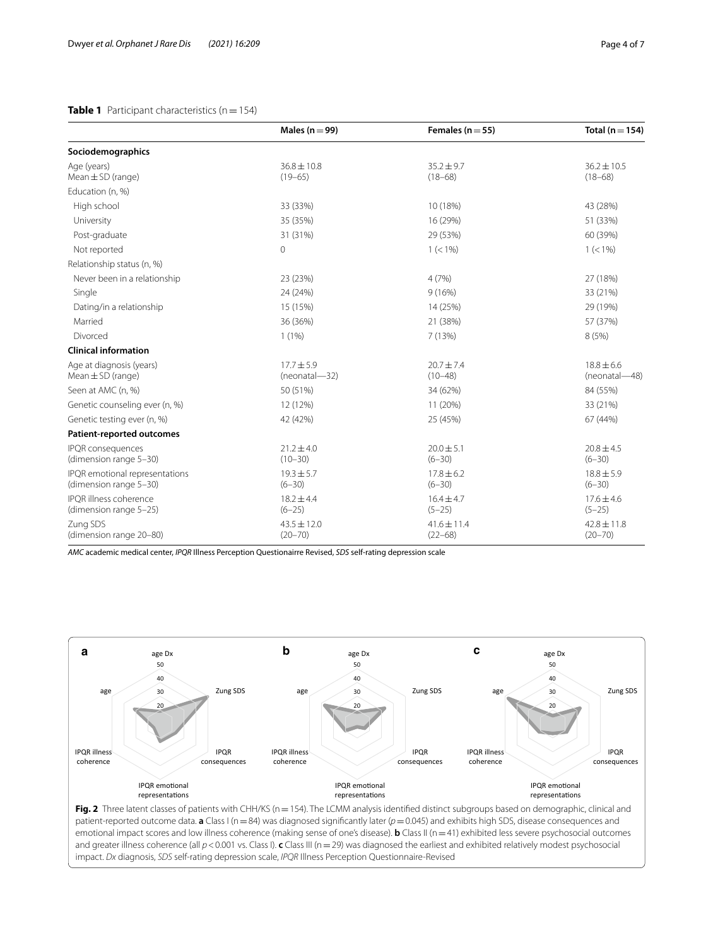# <span id="page-3-0"></span>**Table 1** Participant characteristics  $(n=154)$

|                                                          | Males ( $n = 99$ )             | Females ( $n = 55$ )          | Total ( $n = 154$ )             |
|----------------------------------------------------------|--------------------------------|-------------------------------|---------------------------------|
| Sociodemographics                                        |                                |                               |                                 |
| Age (years)<br>Mean $\pm$ SD (range)                     | $36.8 \pm 10.8$<br>$(19 - 65)$ | $35.2 \pm 9.7$<br>$(18 - 68)$ | $36.2 \pm 10.5$<br>$(18 - 68)$  |
| Education (n, %)                                         |                                |                               |                                 |
| High school                                              | 33 (33%)                       | 10 (18%)                      | 43 (28%)                        |
| University                                               | 35 (35%)                       | 16 (29%)                      | 51 (33%)                        |
| Post-graduate                                            | 31 (31%)                       | 29 (53%)                      | 60 (39%)                        |
| Not reported                                             | $\mathsf{O}\xspace$            | $1 (< 1\%)$                   | $1 (< 1\%)$                     |
| Relationship status (n, %)                               |                                |                               |                                 |
| Never been in a relationship                             | 23 (23%)                       | 4(7%)                         | 27 (18%)                        |
| Single                                                   | 24 (24%)                       | 9(16%)                        | 33 (21%)                        |
| Dating/in a relationship                                 | 15 (15%)                       | 14 (25%)                      | 29 (19%)                        |
| Married                                                  | 36 (36%)                       | 21 (38%)                      | 57 (37%)                        |
| Divorced                                                 | $1(1\%)$                       | 7(13%)                        | 8(5%)                           |
| <b>Clinical information</b>                              |                                |                               |                                 |
| Age at diagnosis (years)<br>Mean $\pm$ SD (range)        | $17.7 + 5.9$<br>(neonatal-32)  | $20.7 + 7.4$<br>$(10 - 48)$   | $18.8 \pm 6.6$<br>(neonatal-48) |
| Seen at AMC (n, %)                                       | 50 (51%)                       | 34 (62%)                      | 84 (55%)                        |
| Genetic counseling ever (n, %)                           | 12 (12%)                       | 11 (20%)                      | 33 (21%)                        |
| Genetic testing ever (n, %)                              | 42 (42%)                       | 25 (45%)                      | 67 (44%)                        |
| Patient-reported outcomes                                |                                |                               |                                 |
| <b>IPQR</b> consequences<br>(dimension range 5-30)       | $71.2 + 4.0$<br>$(10 - 30)$    | $20.0 + 5.1$<br>$(6 - 30)$    | $20.8 + 4.5$<br>$(6 - 30)$      |
| IPQR emotional representations<br>(dimension range 5-30) | $19.3 \pm 5.7$<br>$(6 - 30)$   | $17.8 \pm 6.2$<br>$(6 - 30)$  | $18.8 \pm 5.9$<br>$(6 - 30)$    |
| <b>IPOR illness coherence</b><br>(dimension range 5-25)  | $18.2 \pm 4.4$<br>$(6 - 25)$   | $16.4 \pm 4.7$<br>$(5-25)$    | $17.6 \pm 4.6$<br>$(5-25)$      |
| Zung SDS<br>(dimension range 20-80)                      | $43.5 + 12.0$<br>$(20 - 70)$   | $41.6 + 11.4$<br>$(22 - 68)$  | $42.8 \pm 11.8$<br>$(20 - 70)$  |

*AMC* academic medical center, *IPQR* Illness Perception Questionairre Revised, *SDS* self-rating depression scale



<span id="page-3-1"></span>patient-reported outcome data. **a** Class I (n = 84) was diagnosed significantly later ( $p$  = 0.045) and exhibits high SDS, disease consequences and emotional impact scores and low illness coherence (making sense of one's disease). **b** Class II (n=41) exhibited less severe psychosocial outcomes and greater illness coherence (all  $p < 0.001$  vs. Class I). **c** Class III (n=29) was diagnosed the earliest and exhibited relatively modest psychosocial impact. *Dx* diagnosis, *SDS* self-rating depression scale, *IPQR* Illness Perception Questionnaire-Revised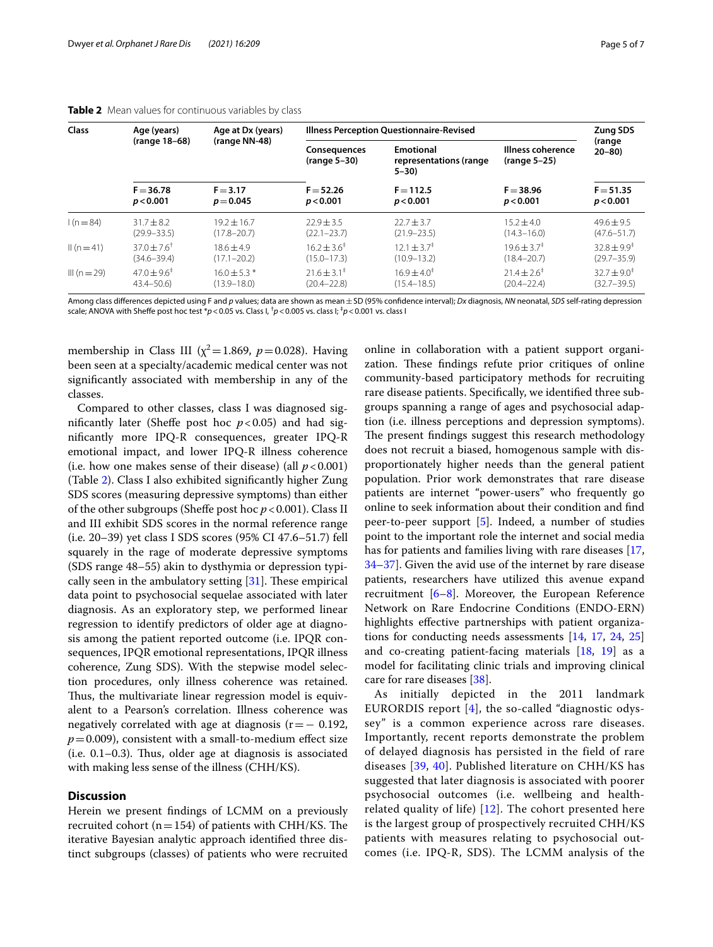| Class       | Age (years)<br>(range 18-68)<br>$F = 36.78$<br>p < 0.001 | Age at Dx (years)<br>(range NN-48)<br>$F = 3.17$<br>$p = 0.045$ | <b>Illness Perception Questionnaire-Revised</b>          |                                                                                    |                                                               | <b>Zung SDS</b>                                 |
|-------------|----------------------------------------------------------|-----------------------------------------------------------------|----------------------------------------------------------|------------------------------------------------------------------------------------|---------------------------------------------------------------|-------------------------------------------------|
|             |                                                          |                                                                 | Consequences<br>(range 5-30)<br>$F = 52.26$<br>p < 0.001 | <b>Emotional</b><br>representations (range<br>$5 - 30$<br>$F = 112.5$<br>p < 0.001 | Illness coherence<br>(range 5-25)<br>$F = 38.96$<br>p < 0.001 | (range<br>$20 - 80$<br>$F = 51.35$<br>p < 0.001 |
|             |                                                          |                                                                 |                                                          |                                                                                    |                                                               |                                                 |
|             | $(29.9 - 33.5)$                                          | $(17.8 - 20.7)$                                                 | $(22.1 - 23.7)$                                          | $(21.9 - 23.5)$                                                                    | $(14.3 - 16.0)$                                               | $(47.6 - 51.7)$                                 |
| $II(n=41)$  | $37.0 + 7.6$ <sup>t</sup>                                | $18.6 + 4.9$                                                    | $16.2 + 3.6^{\ddagger}$                                  | $12.1 \pm 3.7^{\ddagger}$                                                          | $19.6 \pm 3.7^{\ddagger}$                                     | $32.8 + 9.9^{\ddagger}$                         |
|             | $(34.6 - 39.4)$                                          | $(17.1 - 20.2)$                                                 | $(15.0 - 17.3)$                                          | $(10.9 - 13.2)$                                                                    | $(18.4 - 20.7)$                                               | $(29.7 - 35.9)$                                 |
| $III(n=29)$ | $47.0 + 9.6^{\dagger}$                                   | $16.0 + 5.3*$                                                   | $21.6 \pm 3.1^{\ddagger}$                                | $16.9 + 4.0^{\ddagger}$                                                            | $21.4 \pm 2.6^{\ddagger}$                                     | $32.7 + 9.0^{\ddagger}$                         |
|             | $43.4 - 50.6$                                            | $(13.9 - 18.0)$                                                 | $(20.4 - 22.8)$                                          | $(15.4 - 18.5)$                                                                    | $(20.4 - 22.4)$                                               | $(32.7 - 39.5)$                                 |

## <span id="page-4-0"></span>**Table 2** Mean values for continuous variables by class

Among class diferences depicted using F and *p* values; data are shown as mean±SD (95% confdence interval); *Dx* diagnosis, *NN* neonatal, *SDS* self-rating depression scale; ANOVA with Shefe post hoc test \**p*<0.05 vs. Class I, † *p*<0.005 vs. class I; ‡ *p*<0.001 vs. class I

membership in Class III ( $\chi^2$ =1.869, *p* = 0.028). Having been seen at a specialty/academic medical center was not signifcantly associated with membership in any of the classes.

Compared to other classes, class I was diagnosed significantly later (Sheffe post hoc  $p < 0.05$ ) and had signifcantly more IPQ-R consequences, greater IPQ-R emotional impact, and lower IPQ-R illness coherence (i.e. how one makes sense of their disease) (all  $p < 0.001$ ) (Table [2\)](#page-4-0). Class I also exhibited signifcantly higher Zung SDS scores (measuring depressive symptoms) than either of the other subgroups (Shefe post hoc *p*<0.001). Class II and III exhibit SDS scores in the normal reference range (i.e. 20–39) yet class I SDS scores (95% CI 47.6–51.7) fell squarely in the rage of moderate depressive symptoms (SDS range 48–55) akin to dysthymia or depression typically seen in the ambulatory setting  $[31]$  $[31]$ . These empirical data point to psychosocial sequelae associated with later diagnosis. As an exploratory step, we performed linear regression to identify predictors of older age at diagnosis among the patient reported outcome (i.e. IPQR consequences, IPQR emotional representations, IPQR illness coherence, Zung SDS). With the stepwise model selection procedures, only illness coherence was retained. Thus, the multivariate linear regression model is equivalent to a Pearson's correlation. Illness coherence was negatively correlated with age at diagnosis  $(r=-0.192,$  $p=0.009$ ), consistent with a small-to-medium effect size  $(i.e. 0.1-0.3)$ . Thus, older age at diagnosis is associated with making less sense of the illness (CHH/KS).

# **Discussion**

Herein we present fndings of LCMM on a previously recruited cohort ( $n=154$ ) of patients with CHH/KS. The iterative Bayesian analytic approach identifed three distinct subgroups (classes) of patients who were recruited

online in collaboration with a patient support organization. These findings refute prior critiques of online community-based participatory methods for recruiting rare disease patients. Specifcally, we identifed three subgroups spanning a range of ages and psychosocial adaption (i.e. illness perceptions and depression symptoms). The present findings suggest this research methodology does not recruit a biased, homogenous sample with disproportionately higher needs than the general patient population. Prior work demonstrates that rare disease patients are internet "power-users" who frequently go online to seek information about their condition and fnd peer-to-peer support [\[5](#page-6-2)]. Indeed, a number of studies point to the important role the internet and social media has for patients and families living with rare diseases [[17](#page-6-12), [34](#page-6-29)[–37](#page-6-30)]. Given the avid use of the internet by rare disease patients, researchers have utilized this avenue expand recruitment  $[6-8]$  $[6-8]$ . Moreover, the European Reference Network on Rare Endocrine Conditions (ENDO-ERN) highlights effective partnerships with patient organizations for conducting needs assessments [\[14,](#page-6-9) [17,](#page-6-12) [24,](#page-6-19) [25](#page-6-20)] and co-creating patient-facing materials [[18,](#page-6-13) [19\]](#page-6-14) as a model for facilitating clinic trials and improving clinical care for rare diseases [\[38](#page-6-31)].

As initially depicted in the 2011 landmark EURORDIS report  $[4]$  $[4]$ , the so-called "diagnostic odyssey" is a common experience across rare diseases. Importantly, recent reports demonstrate the problem of delayed diagnosis has persisted in the field of rare diseases [[39](#page-6-32), [40\]](#page-6-33). Published literature on CHH/KS has suggested that later diagnosis is associated with poorer psychosocial outcomes (i.e. wellbeing and healthrelated quality of life)  $[12]$ . The cohort presented here is the largest group of prospectively recruited CHH/KS patients with measures relating to psychosocial outcomes (i.e. IPQ-R, SDS). The LCMM analysis of the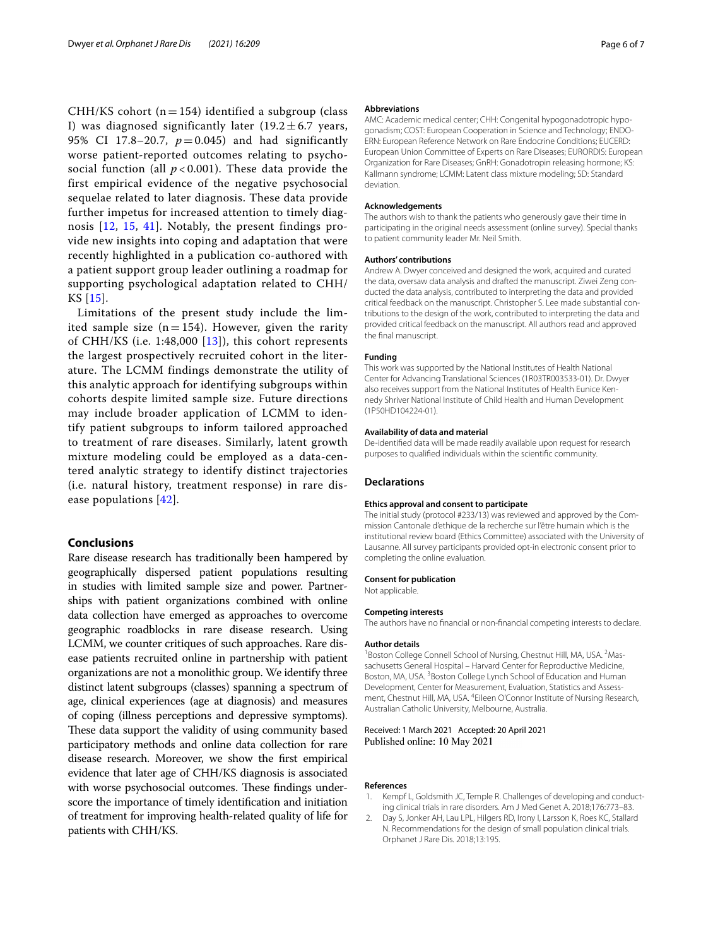CHH/KS cohort ( $n = 154$ ) identified a subgroup (class I) was diagnosed significantly later  $(19.2 \pm 6.7 \text{ years},$ 95% CI 17.8–20.7,  $p = 0.045$  and had significantly worse patient-reported outcomes relating to psychosocial function (all  $p < 0.001$ ). These data provide the first empirical evidence of the negative psychosocial sequelae related to later diagnosis. These data provide further impetus for increased attention to timely diagnosis [[12](#page-6-7), [15](#page-6-10), [41\]](#page-6-34). Notably, the present findings provide new insights into coping and adaptation that were recently highlighted in a publication co-authored with a patient support group leader outlining a roadmap for supporting psychological adaptation related to CHH/ KS [[15\]](#page-6-10).

Limitations of the present study include the limited sample size  $(n = 154)$ . However, given the rarity of CHH/KS (i.e. 1:48,000  $[13]$  $[13]$  $[13]$ ), this cohort represents the largest prospectively recruited cohort in the literature. The LCMM findings demonstrate the utility of this analytic approach for identifying subgroups within cohorts despite limited sample size. Future directions may include broader application of LCMM to identify patient subgroups to inform tailored approached to treatment of rare diseases. Similarly, latent growth mixture modeling could be employed as a data-centered analytic strategy to identify distinct trajectories (i.e. natural history, treatment response) in rare disease populations [[42](#page-6-35)].

## **Conclusions**

Rare disease research has traditionally been hampered by geographically dispersed patient populations resulting in studies with limited sample size and power. Partnerships with patient organizations combined with online data collection have emerged as approaches to overcome geographic roadblocks in rare disease research. Using LCMM, we counter critiques of such approaches. Rare disease patients recruited online in partnership with patient organizations are not a monolithic group. We identify three distinct latent subgroups (classes) spanning a spectrum of age, clinical experiences (age at diagnosis) and measures of coping (illness perceptions and depressive symptoms). These data support the validity of using community based participatory methods and online data collection for rare disease research. Moreover, we show the frst empirical evidence that later age of CHH/KS diagnosis is associated with worse psychosocial outcomes. These findings underscore the importance of timely identifcation and initiation of treatment for improving health-related quality of life for patients with CHH/KS.

#### **Abbreviations**

AMC: Academic medical center; CHH: Congenital hypogonadotropic hypogonadism; COST: European Cooperation in Science and Technology; ENDO-ERN: European Reference Network on Rare Endocrine Conditions; EUCERD: European Union Committee of Experts on Rare Diseases; EURORDIS: European Organization for Rare Diseases; GnRH: Gonadotropin releasing hormone; KS: Kallmann syndrome; LCMM: Latent class mixture modeling; SD: Standard deviation.

#### **Acknowledgements**

The authors wish to thank the patients who generously gave their time in participating in the original needs assessment (online survey). Special thanks to patient community leader Mr. Neil Smith.

#### **Authors' contributions**

Andrew A. Dwyer conceived and designed the work, acquired and curated the data, oversaw data analysis and drafted the manuscript. Ziwei Zeng conducted the data analysis, contributed to interpreting the data and provided critical feedback on the manuscript. Christopher S. Lee made substantial contributions to the design of the work, contributed to interpreting the data and provided critical feedback on the manuscript. All authors read and approved the fnal manuscript.

#### **Funding**

This work was supported by the National Institutes of Health National Center for Advancing Translational Sciences (1R03TR003533-01). Dr. Dwyer also receives support from the National Institutes of Health Eunice Kennedy Shriver National Institute of Child Health and Human Development (1P50HD104224-01).

#### **Availability of data and material**

De-identifed data will be made readily available upon request for research purposes to qualifed individuals within the scientifc community.

#### **Declarations**

## **Ethics approval and consent to participate**

The initial study (protocol #233/13) was reviewed and approved by the Commission Cantonale d'ethique de la recherche sur l'être humain which is the institutional review board (Ethics Committee) associated with the University of Lausanne. All survey participants provided opt-in electronic consent prior to completing the online evaluation.

#### **Consent for publication**

Not applicable.

#### **Competing interests**

The authors have no fnancial or non-fnancial competing interests to declare.

#### **Author details**

<sup>1</sup> Boston College Connell School of Nursing, Chestnut Hill, MA, USA. <sup>2</sup> Massachusetts General Hospital – Harvard Center for Reproductive Medicine, Boston, MA, USA. <sup>3</sup> Boston College Lynch School of Education and Human Development, Center for Measurement, Evaluation, Statistics and Assessment, Chestnut Hill, MA, USA. <sup>4</sup> Eileen O'Connor Institute of Nursing Research, Australian Catholic University, Melbourne, Australia.

## Received: 1 March 2021 Accepted: 20 April 2021 Published online: 10 May 2021

#### **References**

- <span id="page-5-0"></span>1. Kempf L, Goldsmith JC, Temple R. Challenges of developing and conducting clinical trials in rare disorders. Am J Med Genet A. 2018;176:773–83.
- <span id="page-5-1"></span>2. Day S, Jonker AH, Lau LPL, Hilgers RD, Irony I, Larsson K, Roes KC, Stallard N. Recommendations for the design of small population clinical trials. Orphanet J Rare Dis. 2018;13:195.